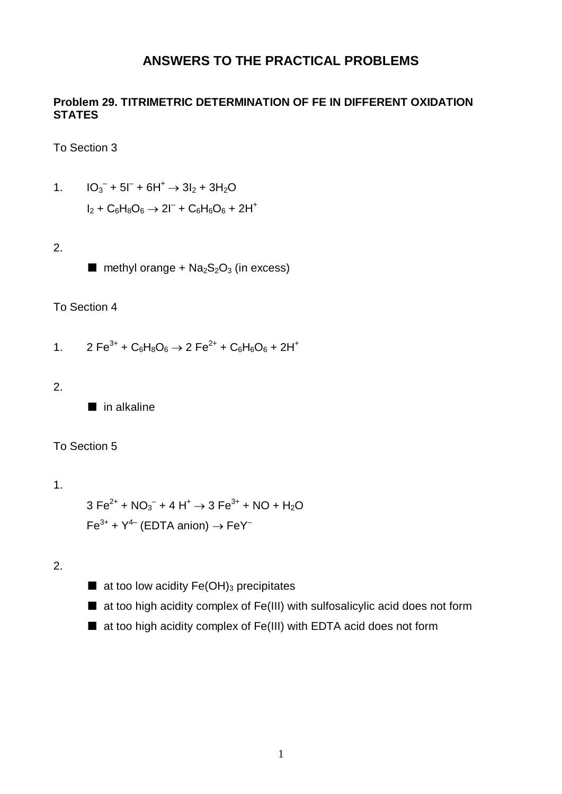### **ANSWERS TO THE PRACTICAL PROBLEMS**

#### **Problem 29. TITRIMETRIC DETERMINATION OF FE IN DIFFERENT OXIDATION STATES**

To Section 3

1. 
$$
10_3^{\circ} + 51^{\circ} + 61^{\circ} \rightarrow 31_2 + 31_20
$$
  
 $1_2 + C_6H_8O_6 \rightarrow 21^{\circ} + C_6H_6O_6 + 21^{\circ}$ 

2.

 $\blacksquare$  methyl orange + Na<sub>2</sub>S<sub>2</sub>O<sub>3</sub> (in excess)

#### To Section 4

- 1.  $2 \text{Fe}^{3+} + \text{C}_6\text{H}_8\text{O}_6 \rightarrow 2 \text{Fe}^{2+} + \text{C}_6\text{H}_6\text{O}_6 + 2\text{H}^+$
- 2.

■ in alkaline

#### To Section 5

1.

 $3 \text{ Fe}^{2+} + \text{NO}_3^- + 4 \text{ H}^+ \rightarrow 3 \text{ Fe}^{3+} + \text{NO} + \text{H}_2\text{O}$  $Fe^{3+}$  +  $Y^{4-}$  (EDTA anion)  $\rightarrow$  FeY<sup>-</sup>

2.

- $\blacksquare$  at too low acidity Fe(OH)<sub>3</sub> precipitates
- at too high acidity complex of Fe(III) with sulfosalicylic acid does not form
- at too high acidity complex of Fe(III) with EDTA acid does not form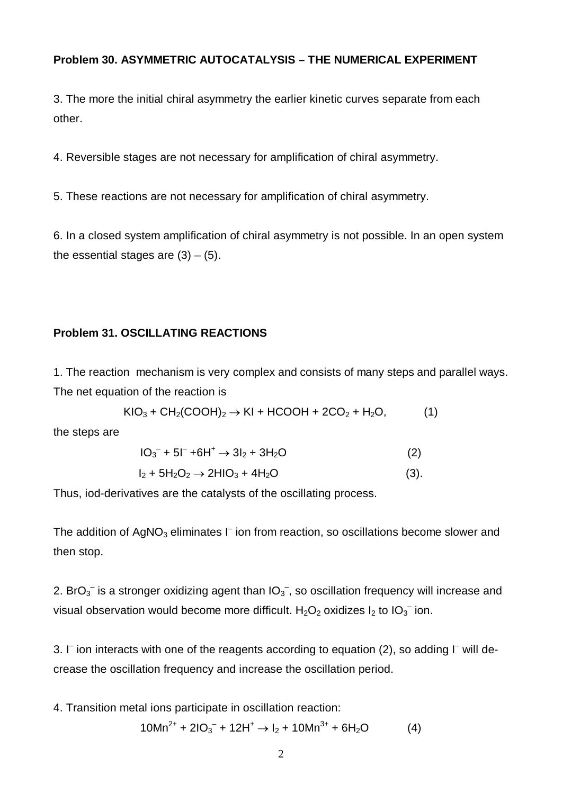#### **Problem 30. ASYMMETRIC AUTOCATALYSIS – THE NUMERICAL EXPERIMENT**

3. The more the initial chiral asymmetry the earlier kinetic curves separate from each other.

4. Reversible stages are not necessary for amplification of chiral asymmetry.

5. These reactions are not necessary for amplification of chiral asymmetry.

6. In a closed system amplification of chiral asymmetry is not possible. In an open system the essential stages are  $(3) - (5)$ .

### **Problem 31. OSCILLATING REACTIONS**

1. The reaction mechanism is very complex and consists of many steps and parallel ways. The net equation of the reaction is

$$
KIO3 + CH2(COOH)2 \rightarrow KI + HCOOH + 2CO2 + H2O,
$$
 (1)

the steps are

$$
10_3^{\circ} + 51^{\circ} + 611^{\circ} \rightarrow 31_2 + 311_20 \tag{2}
$$

$$
I_2 + 5H_2O_2 \rightarrow 2HIO_3 + 4H_2O \tag{3}.
$$

Thus, iod-derivatives are the catalysts of the oscillating process.

The addition of  $AgNO<sub>3</sub>$  eliminates  $I<sup>-</sup>$  ion from reaction, so oscillations become slower and then stop.

2. BrO<sub>3</sub><sup>-</sup> is a stronger oxidizing agent than  $IO_3^-$ , so oscillation frequency will increase and visual observation would become more difficult.  $H_2O_2$  oxidizes  $I_2$  to  $IO_3^-$  ion.

3. I<sup>-</sup> ion interacts with one of the reagents according to equation (2), so adding I<sup>-</sup> will decrease the oscillation frequency and increase the oscillation period.

4. Transition metal ions participate in oscillation reaction:

$$
10Mn^{2+} + 21O_3^- + 12H^+ \rightarrow I_2 + 10Mn^{3+} + 6H_2O \tag{4}
$$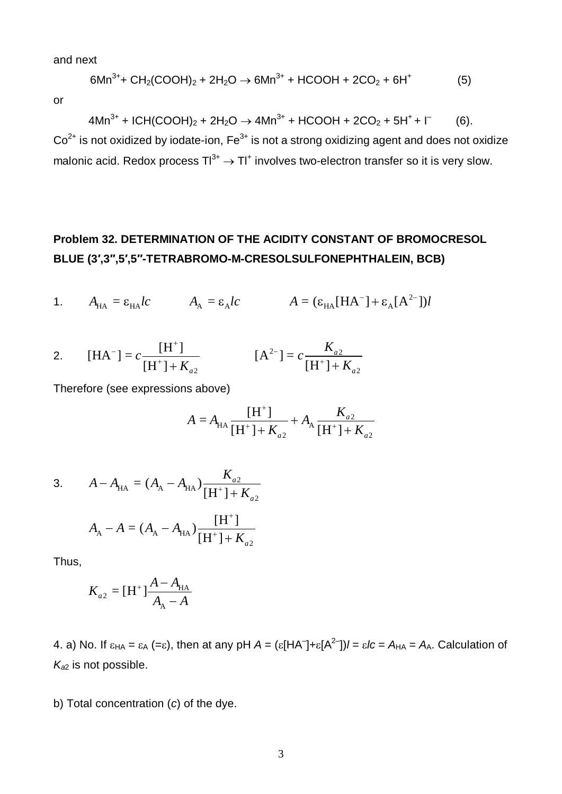and next

$$
6Mn^{3+}
$$
+ CH<sub>2</sub>(COOH)<sub>2</sub> + 2H<sub>2</sub>O  $\rightarrow$  6Mn<sup>3+</sup> + HCOOH + 2CO<sub>2</sub> + 6H<sup>+</sup> (5)

or

$$
4Mn^{3+} + ICH(COOH)_2 + 2H_2O \to 4Mn^{3+} + HCOOH + 2CO_2 + 5H^+ + I^-
$$
 (6).

 $Co<sup>2+</sup>$  is not oxidized by iodate-ion,  $Fe<sup>3+</sup>$  is not a strong oxidizing agent and does not oxidize malonic acid. Redox process  $TI^{3+} \rightarrow TI^{+}$  involves two-electron transfer so it is very slow.

## **Problem 32. DETERMINATION OF THE ACIDITY CONSTANT OF BROMOCRESOL BLUE (3′,3′′,5′,5′′-TETRABROMO-M-CRESOLSULFONEPHTHALEIN, BCB)**

1. 
$$
A_{HA} = \varepsilon_{HA}lc
$$
  $A_A = \varepsilon_A lc$   $A = (\varepsilon_{HA} [HA^{-}] + \varepsilon_A [A^{2-}])l$ 

2. 
$$
[HA^{-}] = c \frac{[H^{+}]}{[H^{+}] + K_{a2}} \qquad [A^{2-}] = c \frac{K_{a2}}{[H^{+}] + K_{a2}}
$$

Therefore (see expressions above)

$$
A = A_{\text{HA}} \frac{[H^+] }{[H^+] + K_{a2}} + A_{\text{A}} \frac{K_{a2}}{[H^+] + K_{a2}}
$$

3. 
$$
A - A_{HA} = (A_A - A_{HA}) \frac{K_{a2}}{[H^+] + K_{a2}}
$$
  
 $A_A - A = (A_A - A_{HA}) \frac{[H^+]}{[H^+] + K_{a2}}$ 

Thus,

$$
K_{a2} = [H^+] \frac{A - A_{HA}}{A_A - A}
$$

4. a) No. If  $\varepsilon_{HA} = \varepsilon_A (= \varepsilon)$ , then at any pH  $A = (\varepsilon [HA^-] + \varepsilon [A^{2-}])/ = \varepsilon Ic = A_{HA} = A_A$ . Calculation of *Ka*2 is not possible.

b) Total concentration (*c*) of the dye.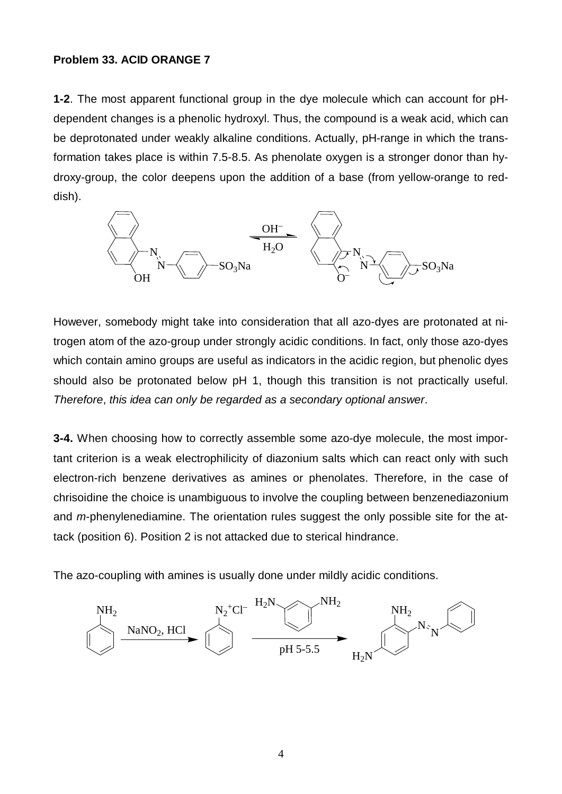#### **Problem 33. ACID ORANGE 7**

**1-2**. The most apparent functional group in the dye molecule which can account for pHdependent changes is a phenolic hydroxyl. Thus, the compound is a weak acid, which can be deprotonated under weakly alkaline conditions. Actually, pH-range in which the transformation takes place is within 7.5-8.5. As phenolate oxygen is a stronger donor than hydroxy-group, the color deepens upon the addition of a base (from yellow-orange to reddish).



However, somebody might take into consideration that all azo-dyes are protonated at nitrogen atom of the azo-group under strongly acidic conditions. In fact, only those azo-dyes which contain amino groups are useful as indicators in the acidic region, but phenolic dyes should also be protonated below pH 1, though this transition is not practically useful. *Therefore*, *this idea can only be regarded as a secondary optional answer*.

**3-4.** When choosing how to correctly assemble some azo-dye molecule, the most important criterion is a weak electrophilicity of diazonium salts which can react only with such electron-rich benzene derivatives as amines or phenolates. Therefore, in the case of chrisoidine the choice is unambiguous to involve the coupling between benzenediazonium and *m*-phenylenediamine. The orientation rules suggest the only possible site for the attack (position 6). Position 2 is not attacked due to sterical hindrance.

The azo-coupling with amines is usually done under mildly acidic conditions.